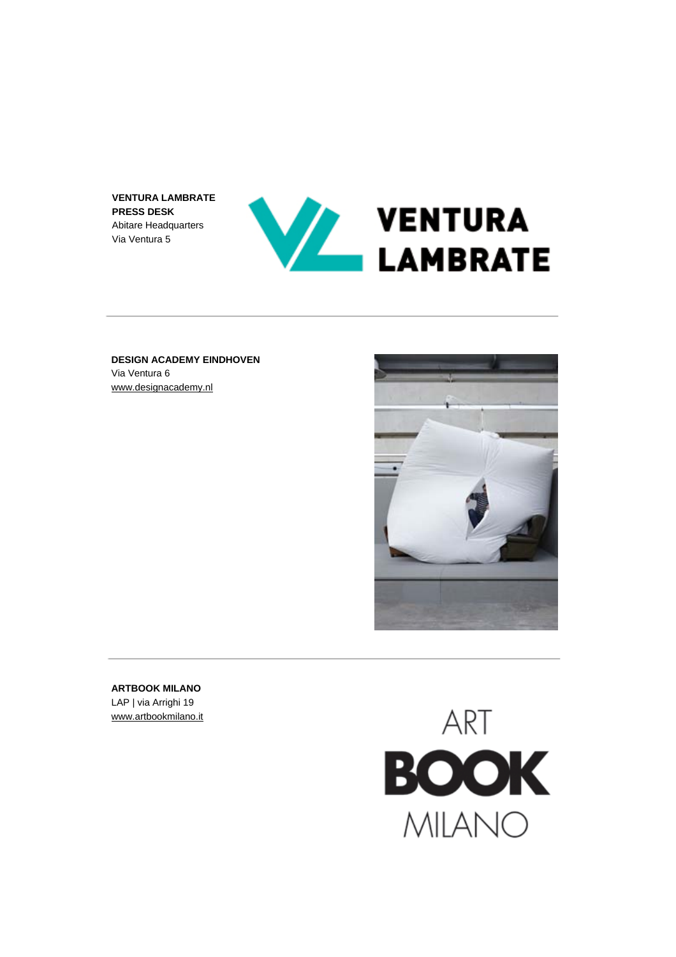**VENTURA LAMBRATE PRESS DESK** Abitare Headquarters Via Ventura 5



**DESIGN ACADEMY EINDHOVEN** Via Ventura 6 [www.designacademy.nl](http://www.designacademy.nl/)



**ARTBOOK MILANO** LAP | via Arrighi 19 [www.artbookmilano.it](http://www.artbookmilano.it/)

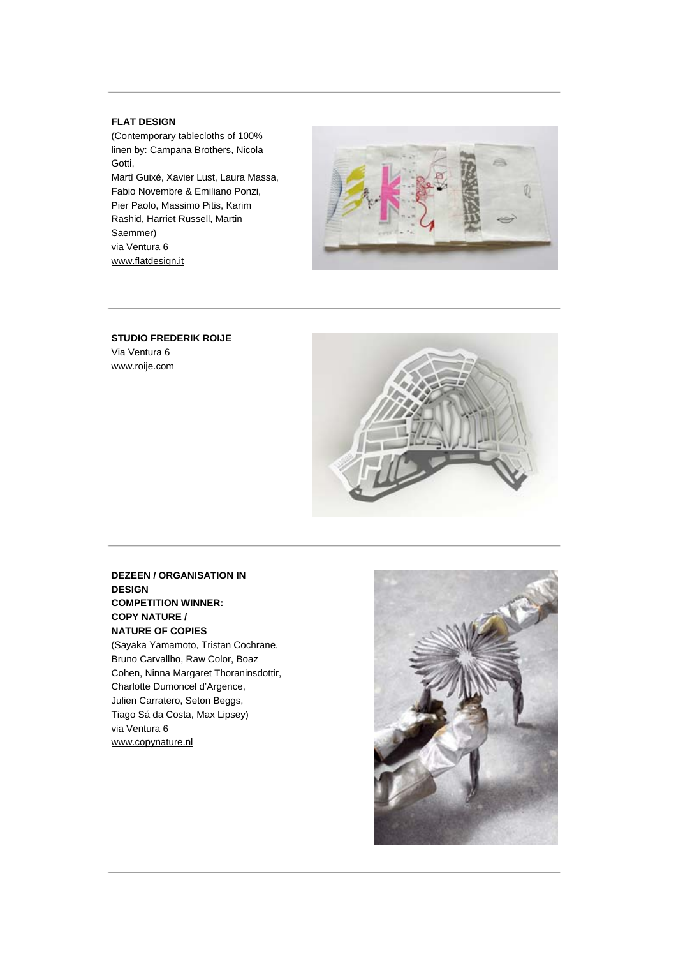### **FLAT DESIGN**

(Contemporary tablecloths of 100% linen by: Campana Brothers, Nicola Gotti, Martì Guixé, Xavier Lust, Laura Massa, Fabio Novembre & Emiliano Ponzi, Pier Paolo, Massimo Pitis, Karim Rashid, Harriet Russell, Martin Saemmer) via Ventura 6 [www.flatdesign.it](http://www.flatdesign.it/)



**STUDIO FREDERIK ROIJE**  Via Ventura 6 [www.roije.com](http://www.roije.com/)



**DEZEEN / ORGANISATION IN DESIGN COMPETITION WINNER: COPY NATURE / NATURE OF COPIES**  (Sayaka Yamamoto, Tristan Cochrane, Bruno Carvallho, Raw Color, Boaz Cohen, Ninna Margaret Thoraninsdottir, Charlotte Dumoncel d'Argence, Julien Carratero, Seton Beggs, Tiago Sá da Costa, Max Lipsey) via Ventura 6 [www.copynature.nl](http://www.copynature.nl/)

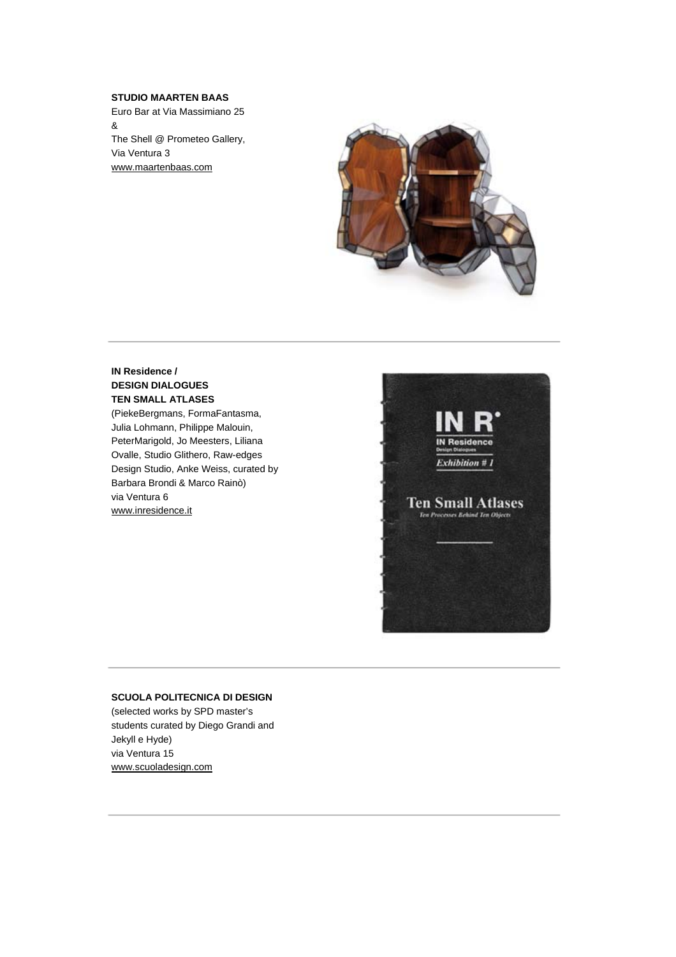## **STUDIO MAARTEN BAAS**

Euro Bar at Via Massimiano 25 & The Shell @ Prometeo Gallery, Via Ventura 3 [www.maartenbaas.com](http://www.maartenbaas.com/)



# **IN Residence / DESIGN DIALOGUES TEN SMALL ATLASES**

(PiekeBergmans, FormaFantasma, Julia Lohmann, Philippe Malouin, PeterMarigold, Jo Meesters, Liliana Ovalle, Studio Glithero, Raw-edges Design Studio, Anke Weiss, curated by Barbara Brondi & Marco Rainò) via Ventura 6 [www.inresidence.it](http://www.inresidence.it/) 



#### **SCUOLA POLITECNICA DI DESIGN**

(selected works by SPD master's students curated by Diego Grandi and Jekyll e Hyde) via Ventura 15 [www.scuoladesign.com](http://www.scuoladesign.com/)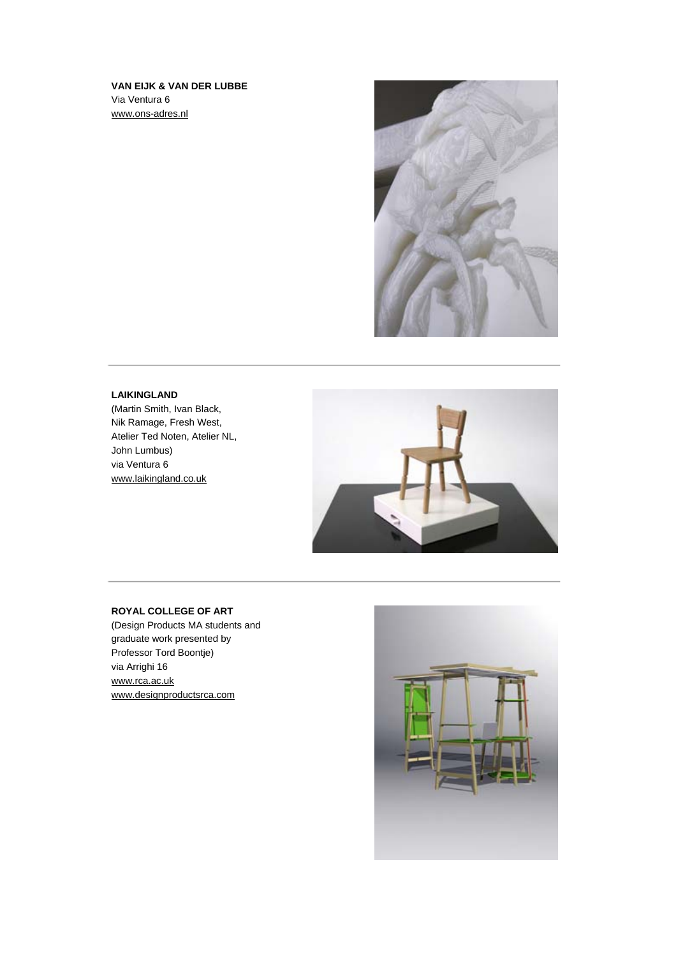# **VAN EIJK & VAN DER LUBBE** Via Ventura 6 [www.ons-adres.nl](http://www.ons-adres.nl/)



# **LAIKINGLAND**

(Martin Smith, Ivan Black, Nik Ramage, Fresh West, Atelier Ted Noten, Atelier NL, John Lumbus) via Ventura 6 [www.laikingland.co.uk](http://www.laikingland.co.uk/) 



# **ROYAL COLLEGE OF ART**

(Design Products MA students and graduate work presented by Professor Tord Boontje) via Arrighi 16 [www.rca.ac.uk](http://www.rca.ac.uk/) [www.designproductsrca.com](http://www.designproductsrca.com/) 

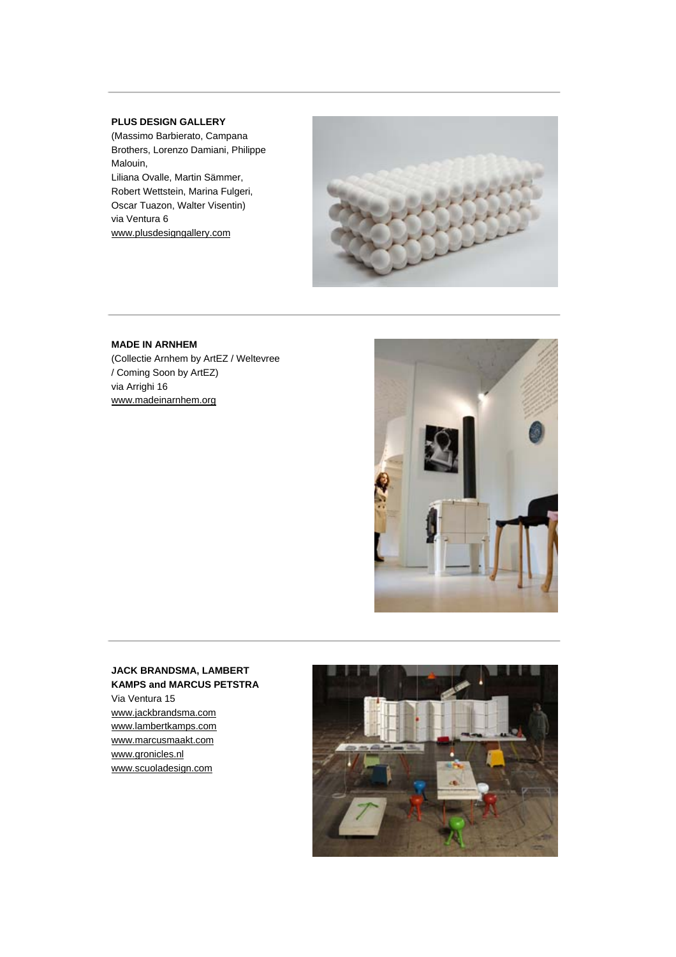### **PLUS DESIGN GALLERY**

(Massimo Barbierato, Campana Brothers, Lorenzo Damiani, Philippe Malouin, Liliana Ovalle, Martin Sämmer, Robert Wettstein, Marina Fulgeri, Oscar Tuazon, Walter Visentin) via Ventura 6 [www.plusdesigngallery.com](http://www.plusdesigngallery.com/) 



### **MADE IN ARNHEM**

(Collectie Arnhem by ArtEZ / Weltevree / Coming Soon by ArtEZ) via Arrighi 16 [www.madeinarnhem.org](http://www.madeinarnhem.org/)



# **JACK BRANDSMA, LAMBERT KAMPS and MARCUS PETSTRA**

Via Ventura 15 [www.jackbrandsma.com](http://www.jackbrandsma.com/) [www.lambertkamps.com](http://www.lambertkamps.com/) [www.marcusmaakt.com](http://www.marcusmaakt.com/) [www.gronicles.nl](http://www.gronicles.nl/)  [www.scuoladesign.com](http://www.scuoladesign.com/)

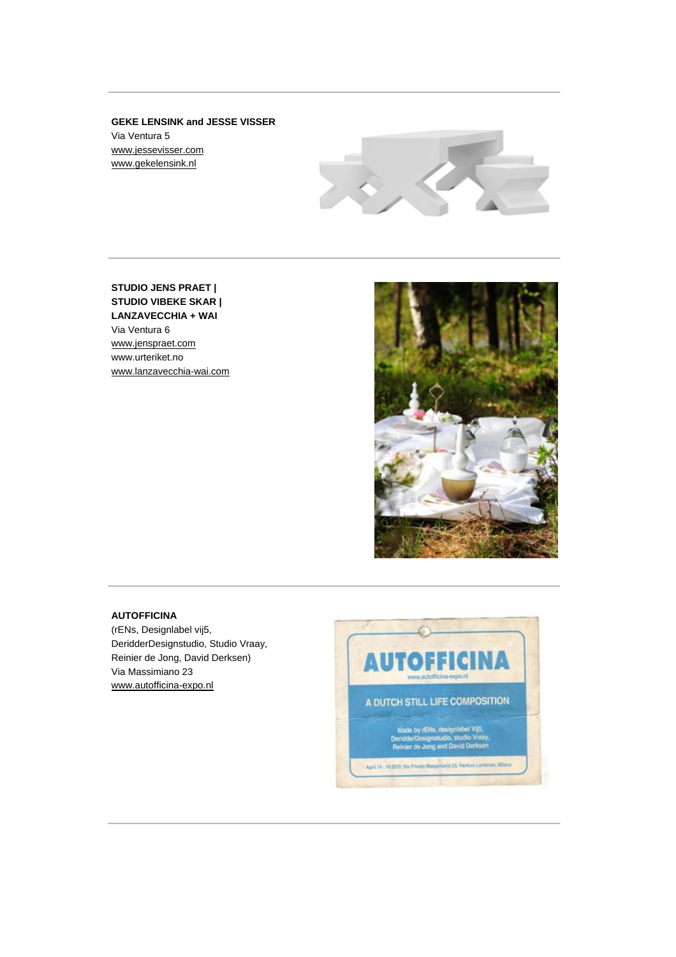**GEKE LENSINK and JESSE VISSER** Via Ventura 5 [www.jessevisser.com](http://www.jessevisser.com/) [www.gekelensink.nl](http://www.gekelensink.nl/) 



**STUDIO JENS PRAET | STUDIO VIBEKE SKAR | LANZAVECCHIA + WAI** Via Ventura 6 [www.jenspraet.com](http://www.jenspraet.com/) www.urteriket.no [www.lanzavecchia-wai.com](http://www.lanzavecchia-wai.com/) 



# **AUTOFFICINA**

(rENs, Designlabel vij5, DeridderDesignstudio, Studio Vraay, Reinier de Jong, David Derksen) Via Massimiano 23 [www.autofficina-expo.nl](http://www.autofficina-expo.nl/) 

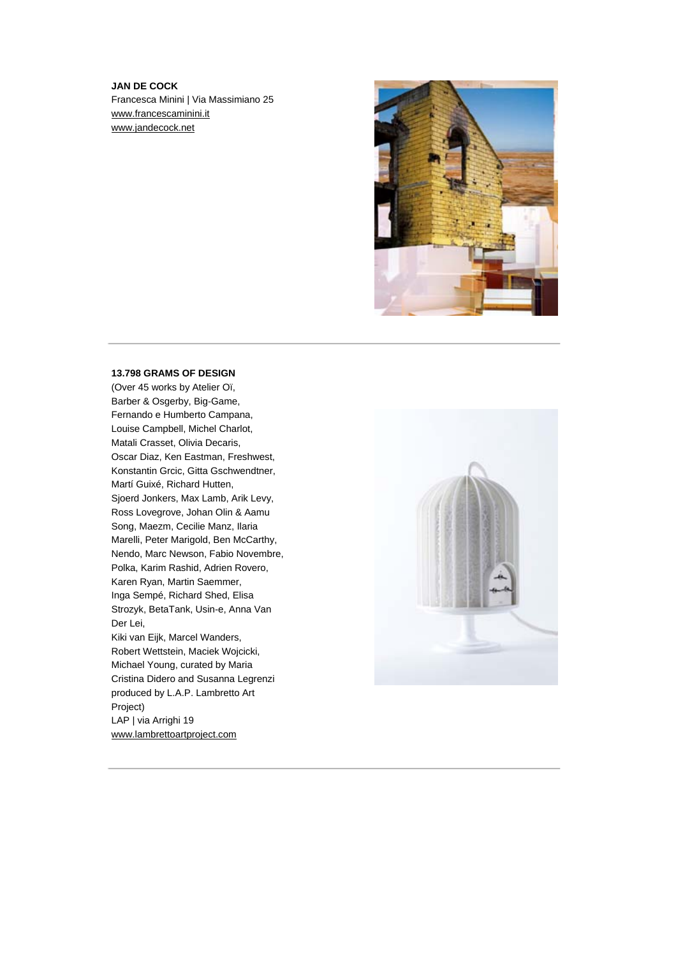# **JAN DE COCK** Francesca Minini | Via Massimiano 25 [www.francescaminini.it](http://www.francescaminini.it/) [www.jandecock.net](http://www.jandecock.net/)



#### **13.798 GRAMS OF DESIGN**

(Over 45 works by Atelier Oï, Barber & Osgerby, Big-Game, Fernando e Humberto Campana, Louise Campbell, Michel Charlot, Matali Crasset, Olivia Decaris, Oscar Diaz, Ken Eastman, Freshwest, Konstantin Grcic, Gitta Gschwendtner, Martí Guixé, Richard Hutten, Sjoerd Jonkers, Max Lamb, Arik Levy, Ross Lovegrove, Johan Olin & Aamu Song, Maezm, Cecilie Manz, Ilaria Marelli, Peter Marigold, Ben McCarthy, Nendo, Marc Newson, Fabio Novembre, Polka, Karim Rashid, Adrien Rovero, Karen Ryan, Martin Saemmer, Inga Sempé, Richard Shed, Elisa Strozyk, BetaTank, Usin-e, Anna Van Der Lei, Kiki van Eijk, Marcel Wanders, Robert Wettstein, Maciek Wojcicki, Michael Young, curated by Maria Cristina Didero and Susanna Legrenzi produced by L.A.P. Lambretto Art Project) LAP | via Arrighi 19 [www.lambrettoartproject.com](http://www.lambrettoartproject.com/)

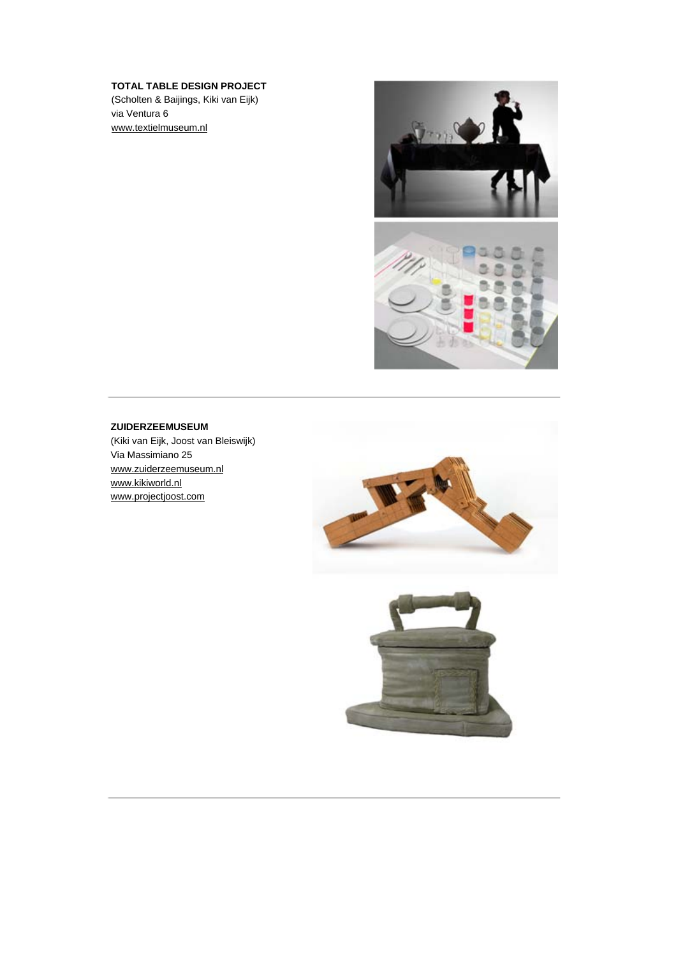# **TOTAL TABLE DESIGN PROJECT**

(Scholten & Baijings, Kiki van Eijk) via Ventura 6 [www.textielmuseum.nl](http://www.textielmuseum.nl/) 



#### **ZUIDERZEEMUSEUM**

(Kiki van Eijk, Joost van Bleiswijk) Via Massimiano 25 [www.zuiderzeemuseum.nl](http://www.zuiderzeemuseum.nl/)  [www.kikiworld.nl](http://www.kikiworld.nl/) [www.projectjoost.com](http://www.projectjoost.com/)